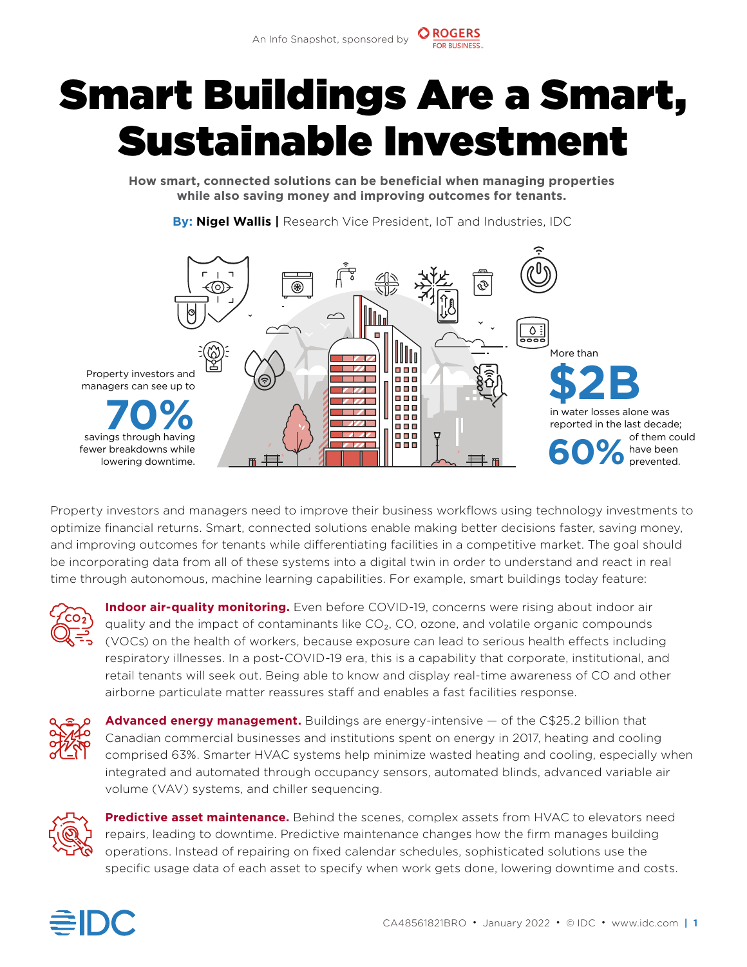## Smart Buildings Are a Smart, Sustainable Investment

**How smart, connected solutions can be benefcial when managing properties while also saving money and improving outcomes for tenants.** 

**By: Nigel Wallis |** Research Vice President, IoT and Industries, IDC



Property investors and managers need to improve their business workflows using technology investments to optimize fnancial returns. Smart, connected solutions enable making better decisions faster, saving money, and improving outcomes for tenants while diferentiating facilities in a competitive market. The goal should be incorporating data from all of these systems into a digital twin in order to understand and react in real time through autonomous, machine learning capabilities. For example, smart buildings today feature:



**Indoor air-quality monitoring.** Even before COVID-19, concerns were rising about indoor air quality and the impact of contaminants like  $CO<sub>2</sub>$ , CO, ozone, and volatile organic compounds (VOCs) on the health of workers, because exposure can lead to serious health efects including respiratory illnesses. In a post-COVID-19 era, this is a capability that corporate, institutional, and retail tenants will seek out. Being able to know and display real-time awareness of CO and other airborne particulate matter reassures staff and enables a fast facilities response.



**Advanced energy management.** Buildings are energy-intensive  $-$  of the C\$25.2 billion that Canadian commercial businesses and institutions spent on energy in 2017, heating and cooling comprised 63%. Smarter HVAC systems help minimize wasted heating and cooling, especially when integrated and automated through occupancy sensors, automated blinds, advanced variable air volume (VAV) systems, and chiller sequencing.



**Predictive asset maintenance.** Behind the scenes, complex assets from HVAC to elevators need repairs, leading to downtime. Predictive maintenance changes how the frm manages building operations. Instead of repairing on fxed calendar schedules, sophisticated solutions use the specifc usage data of each asset to specify when work gets done, lowering downtime and costs.